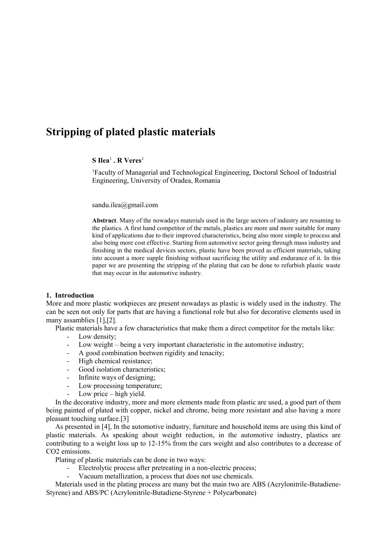# **Stripping of plated plastic materials**

## **S** Ilea<sup>1</sup> **. R** Veres<sup>1</sup>

<sup>1</sup>Faculty of Managerial and Technological Engineering, Doctoral School of Industrial Engineering, University of Oradea, Romania

sandu.ilea@gmail.com

**Abstract**. Many of the nowadays materials used in the large sectors of industry are resuming to the plastics. A first hand competitor of the metals, plastics are more and more suitable for many kind of applications due to their improved characteristics, being also more simple to process and also being more cost effective. Starting from automotive sector going through mass industry and finishing in the medical devices sectors, plastic have been proved as efficient materials, taking into account a more supple finishing without sacrificing the utility and endurance of it. In this paper we are presenting the stripping of the plating that can be done to refurbish plastic waste that may occur in the automotive industry.

### **1. Introduction**

More and more plastic workpieces are present nowadays as plastic is widely used in the industry. The can be seen not only for parts that are having a functional role but also for decorative elements used in many assamblies [1],[2].

Plastic materials have a few characteristics that make them a direct competitor for the metals like:

- Low density;
- Low weight being a very important characteristic in the automotive industry;
- A good combination beetwen rigidity and tenacity;
- High chemical resistance;
- Good isolation characteristics;
- Infinite ways of designing;
- Low processing temperature;
- Low price  $-$  high yield.

In the decorative industry, more and more elements made from plastic are used, a good part of them being painted of plated with copper, nickel and chrome, being more resistant and also having a more pleasant touching surface.[3]

As presented in [4], In the automotive industry, furniture and household items are using this kind of plastic materials. As speaking about weight reduction, in the automotive industry, plastics are contributing to a weight loss up to 12-15% from the cars weight and also contributes to a decrease of CO2 emissions.

Plating of plastic materials can be done in two ways:

- Electrolytic process after pretreating in a non-electric process;
- Vacuum metallization, a process that does not use chemicals.

Materials used in the plating process are many but the main two are ABS (Acrylonitrile-Butadiene-Styrene) and ABS/PC (Acrylonitrile-Butadiene-Styrene + Polycarbonate)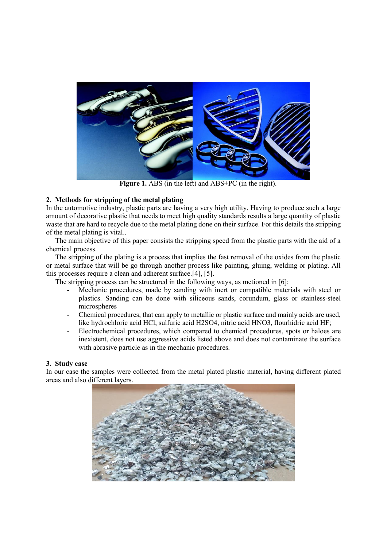

**Figure 1.** ABS (in the left) and ABS+PC (in the right).

# **2. Methods for stripping of the metal plating**

In the automotive industry, plastic parts are having a very high utility. Having to produce such a large amount of decorative plastic that needs to meet high quality standards results a large quantity of plastic waste that are hard to recycle due to the metal plating done on their surface. For this details the stripping of the metal plating is vital..

The main objective of this paper consists the stripping speed from the plastic parts with the aid of a chemical process.

The stripping of the plating is a process that implies the fast removal of the oxides from the plastic or metal surface that will be go through another process like painting, gluing, welding or plating. All this processes require a clean and adherent surface.[4], [5].

The stripping process can be structured in the following ways, as metioned in [6]:

- Mechanic procedures, made by sanding with inert or compatible materials with steel or plastics. Sanding can be done with siliceous sands, corundum, glass or stainless-steel microspheres
- Chemical procedures, that can apply to metallic or plastic surface and mainly acids are used, like hydrochloric acid HCl, sulfuric acid H2SO4, nitric acid HNO3, flourhidric acid HF;
- Electrochemical procedures, which compared to chemical procedures, spots or haloes are inexistent, does not use aggressive acids listed above and does not contaminate the surface with abrasive particle as in the mechanic procedures.

## **3. Study case**

In our case the samples were collected from the metal plated plastic material, having different plated areas and also different layers.

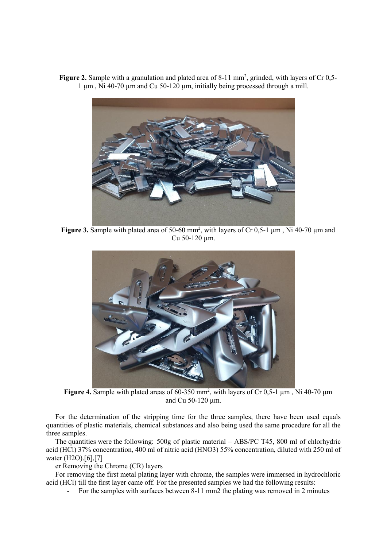

Figure 2. Sample with a granulation and plated area of 8-11 mm<sup>2</sup>, grinded, with layers of Cr 0,5-1 µm , Ni 40-70 µm and Cu 50-120 µm, initially being processed through a mill.

**Figure 3.** Sample with plated area of 50-60 mm<sup>2</sup>, with layers of Cr 0,5-1  $\mu$ m, Ni 40-70  $\mu$ m and Cu 50-120 µm.



**Figure 4.** Sample with plated areas of  $60-350$  mm<sup>2</sup>, with layers of Cr 0,5-1  $\mu$ m, Ni 40-70  $\mu$ m and Cu 50-120 µm.

For the determination of the stripping time for the three samples, there have been used equals quantities of plastic materials, chemical substances and also being used the same procedure for all the three samples.

The quantities were the following: 500g of plastic material – ABS/PC T45, 800 ml of chlorhydric acid (HCl) 37% concentration, 400 ml of nitric acid (HNO3) 55% concentration, diluted with 250 ml of water (H2O).[6],[7]

er Removing the Chrome (CR) layers

For removing the first metal plating layer with chrome, the samples were immersed in hydrochloric acid (HCl) till the first layer came off. For the presented samples we had the following results:

- For the samples with surfaces between 8-11 mm2 the plating was removed in 2 minutes